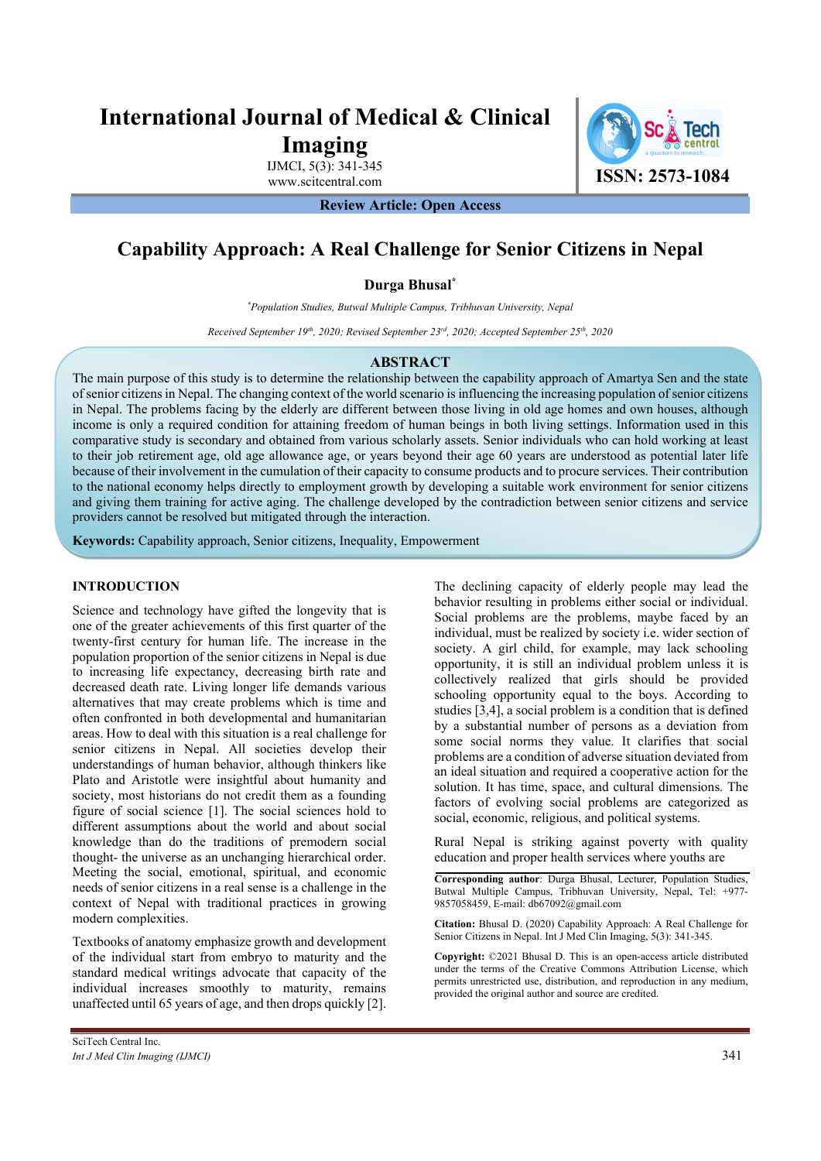# **International Journal of Medical & Clinical Imaging**

IJMCI, 5(3): 341-345

www.scitcentral.com **ISSN: 2573-1084** 

**Review Article: Open Access** 

# **Capability Approach: A Real Challenge for Senior Citizens in Nepal**

**Durga Bhusal\***

*\* Population Studies, Butwal Multiple Campus, Tribhuvan University, Nepal* 

*Received September 19th, 2020; Revised September 23rd, 2020; Accepted September 25th, 2020* 

#### **ABSTRACT**

The main purpose of this study is to determine the relationship between the capability approach of Amartya Sen and the state of senior citizens in Nepal. The changing context of the world scenario is influencing the increasing population of senior citizens in Nepal. The problems facing by the elderly are different between those living in old age homes and own houses, although income is only a required condition for attaining freedom of human beings in both living settings. Information used in this comparative study is secondary and obtained from various scholarly assets. Senior individuals who can hold working at least to their job retirement age, old age allowance age, or years beyond their age 60 years are understood as potential later life because of their involvement in the cumulation of their capacity to consume products and to procure services. Their contribution to the national economy helps directly to employment growth by developing a suitable work environment for senior citizens and giving them training for active aging. The challenge developed by the contradiction between senior citizens and service providers cannot be resolved but mitigated through the interaction.

**Keywords:** Capability approach, Senior citizens, Inequality, Empowerment

#### **INTRODUCTION**

Science and technology have gifted the longevity that is one of the greater achievements of this first quarter of the twenty-first century for human life. The increase in the population proportion of the senior citizens in Nepal is due to increasing life expectancy, decreasing birth rate and decreased death rate. Living longer life demands various alternatives that may create problems which is time and often confronted in both developmental and humanitarian areas. How to deal with this situation is a real challenge for senior citizens in Nepal. All societies develop their understandings of human behavior, although thinkers like Plato and Aristotle were insightful about humanity and society, most historians do not credit them as a founding figure of social science [1]. The social sciences hold to different assumptions about the world and about social knowledge than do the traditions of premodern social thought- the universe as an unchanging hierarchical order. Meeting the social, emotional, spiritual, and economic needs of senior citizens in a real sense is a challenge in the context of Nepal with traditional practices in growing modern complexities.

Textbooks of anatomy emphasize growth and development of the individual start from embryo to maturity and the standard medical writings advocate that capacity of the individual increases smoothly to maturity, remains unaffected until 65 years of age, and then drops quickly [2].

The declining capacity of elderly people may lead the behavior resulting in problems either social or individual. Social problems are the problems, maybe faced by an individual, must be realized by society i.e. wider section of society. A girl child, for example, may lack schooling opportunity, it is still an individual problem unless it is collectively realized that girls should be provided schooling opportunity equal to the boys. According to studies [3,4], a social problem is a condition that is defined by a substantial number of persons as a deviation from some social norms they value. It clarifies that social problems are a condition of adverse situation deviated from an ideal situation and required a cooperative action for the solution. It has time, space, and cultural dimensions. The factors of evolving social problems are categorized as social, economic, religious, and political systems.

Rural Nepal is striking against poverty with quality education and proper health services where youths are

**Corresponding author**: Durga Bhusal, Lecturer, Population Studies, Butwal Multiple Campus, Tribhuvan University, Nepal, Tel: +977- 9857058459, E-mail: db67092@gmail.com

**Citation:** Bhusal D. (2020) Capability Approach: A Real Challenge for Senior Citizens in Nepal. Int J Med Clin Imaging, 5(3): 341-345.

**Copyright:** ©2021 Bhusal D. This is an open-access article distributed under the terms of the Creative Commons Attribution License, which permits unrestricted use, distribution, and reproduction in any medium, provided the original author and source are credited.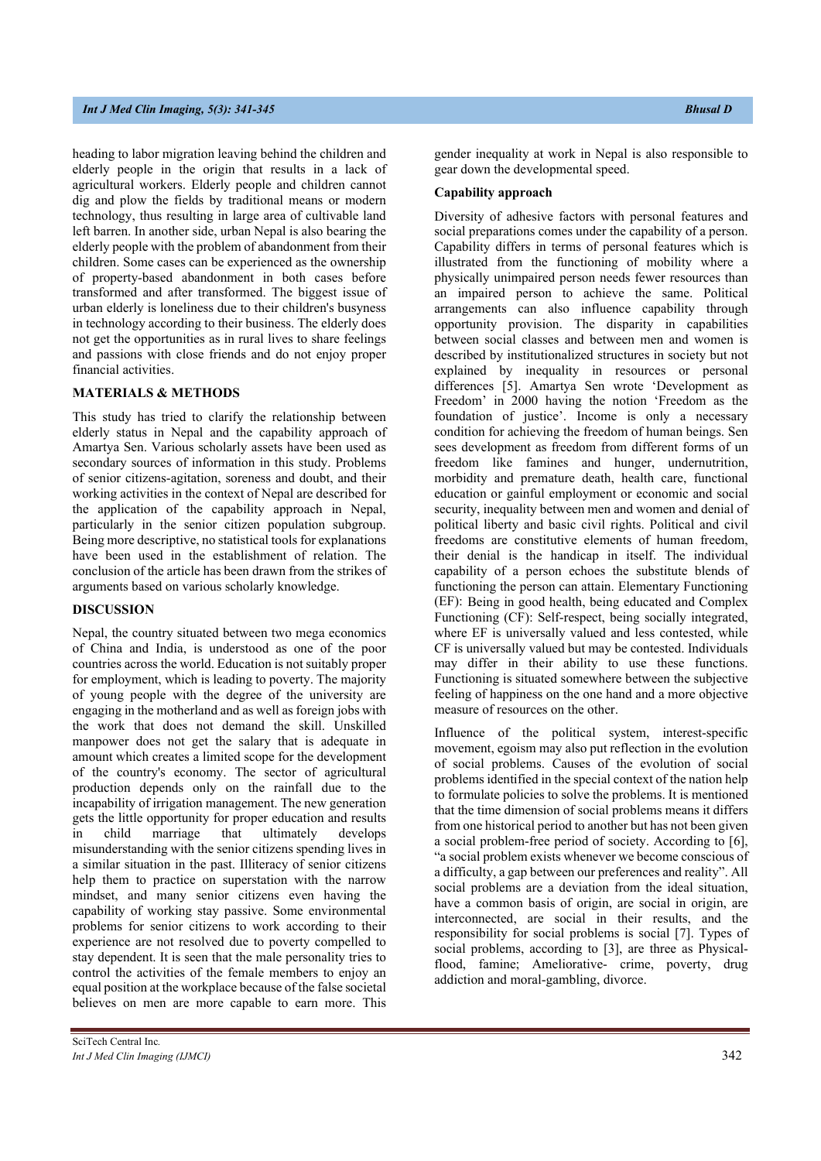heading to labor migration leaving behind the children and elderly people in the origin that results in a lack of agricultural workers. Elderly people and children cannot dig and plow the fields by traditional means or modern technology, thus resulting in large area of cultivable land left barren. In another side, urban Nepal is also bearing the elderly people with the problem of abandonment from their children. Some cases can be experienced as the ownership of property-based abandonment in both cases before transformed and after transformed. The biggest issue of urban elderly is loneliness due to their children's busyness in technology according to their business. The elderly does not get the opportunities as in rural lives to share feelings and passions with close friends and do not enjoy proper financial activities.

## **MATERIALS & METHODS**

This study has tried to clarify the relationship between elderly status in Nepal and the capability approach of Amartya Sen. Various scholarly assets have been used as secondary sources of information in this study. Problems of senior citizens-agitation, soreness and doubt, and their working activities in the context of Nepal are described for the application of the capability approach in Nepal, particularly in the senior citizen population subgroup. Being more descriptive, no statistical tools for explanations have been used in the establishment of relation. The conclusion of the article has been drawn from the strikes of arguments based on various scholarly knowledge.

#### **DISCUSSION**

Nepal, the country situated between two mega economics of China and India, is understood as one of the poor countries across the world. Education is not suitably proper for employment, which is leading to poverty. The majority of young people with the degree of the university are engaging in the motherland and as well as foreign jobs with the work that does not demand the skill. Unskilled manpower does not get the salary that is adequate in amount which creates a limited scope for the development of the country's economy. The sector of agricultural production depends only on the rainfall due to the incapability of irrigation management. The new generation gets the little opportunity for proper education and results in child marriage that ultimately develops misunderstanding with the senior citizens spending lives in a similar situation in the past. Illiteracy of senior citizens help them to practice on superstation with the narrow mindset, and many senior citizens even having the capability of working stay passive. Some environmental problems for senior citizens to work according to their experience are not resolved due to poverty compelled to stay dependent. It is seen that the male personality tries to control the activities of the female members to enjoy an equal position at the workplace because of the false societal believes on men are more capable to earn more. This gender inequality at work in Nepal is also responsible to gear down the developmental speed.

#### **Capability approach**

Diversity of adhesive factors with personal features and social preparations comes under the capability of a person. Capability differs in terms of personal features which is illustrated from the functioning of mobility where a physically unimpaired person needs fewer resources than an impaired person to achieve the same. Political arrangements can also influence capability through opportunity provision. The disparity in capabilities between social classes and between men and women is described by institutionalized structures in society but not explained by inequality in resources or personal differences [5]. Amartya Sen wrote 'Development as Freedom' in 2000 having the notion 'Freedom as the foundation of justice'. Income is only a necessary condition for achieving the freedom of human beings. Sen sees development as freedom from different forms of un freedom like famines and hunger, undernutrition, morbidity and premature death, health care, functional education or gainful employment or economic and social security, inequality between men and women and denial of political liberty and basic civil rights. Political and civil freedoms are constitutive elements of human freedom, their denial is the handicap in itself. The individual capability of a person echoes the substitute blends of functioning the person can attain. Elementary Functioning (EF): Being in good health, being educated and Complex Functioning (CF): Self-respect, being socially integrated, where EF is universally valued and less contested, while CF is universally valued but may be contested. Individuals may differ in their ability to use these functions. Functioning is situated somewhere between the subjective feeling of happiness on the one hand and a more objective measure of resources on the other.

Influence of the political system, interest-specific movement, egoism may also put reflection in the evolution of social problems. Causes of the evolution of social problems identified in the special context of the nation help to formulate policies to solve the problems. It is mentioned that the time dimension of social problems means it differs from one historical period to another but has not been given a social problem-free period of society. According to [6], "a social problem exists whenever we become conscious of a difficulty, a gap between our preferences and reality". All social problems are a deviation from the ideal situation, have a common basis of origin, are social in origin, are interconnected, are social in their results, and the responsibility for social problems is social [7]. Types of social problems, according to [3], are three as Physicalflood, famine; Ameliorative- crime, poverty, drug addiction and moral-gambling, divorce.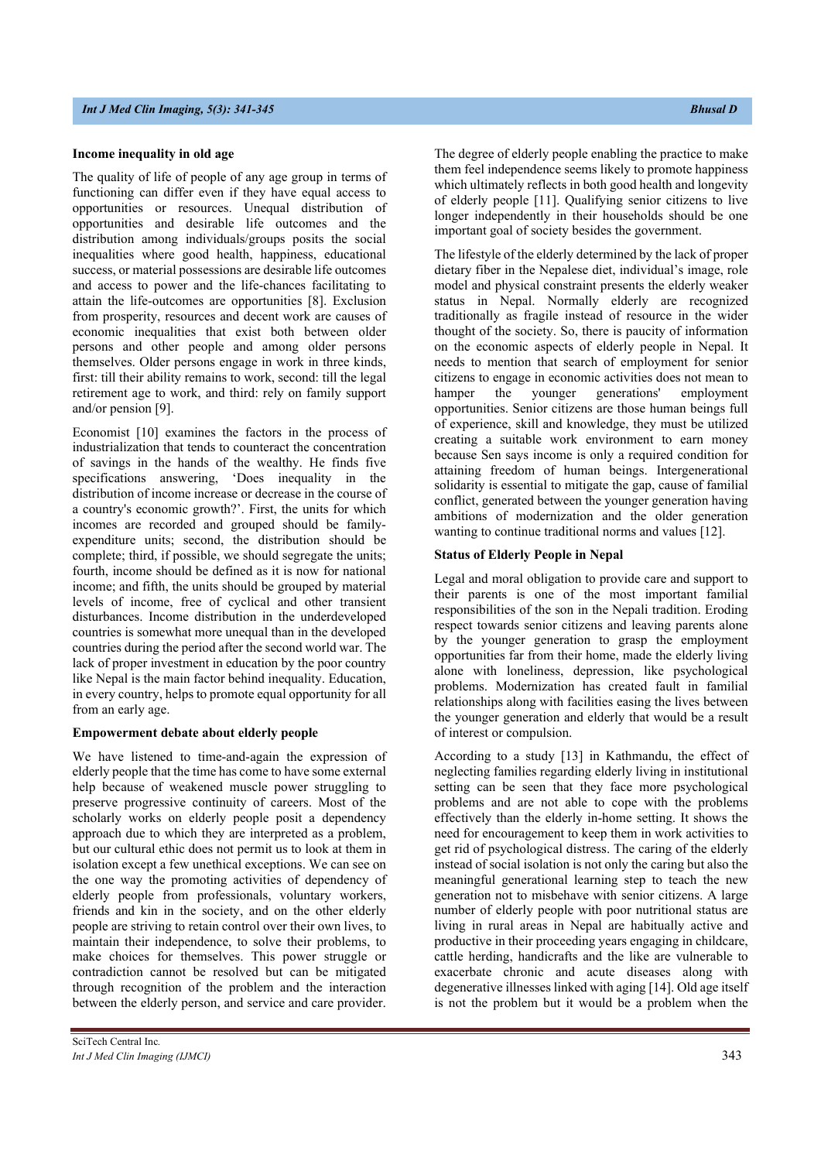#### **Income inequality in old age**

The quality of life of people of any age group in terms of functioning can differ even if they have equal access to opportunities or resources. Unequal distribution of opportunities and desirable life outcomes and the distribution among individuals/groups posits the social inequalities where good health, happiness, educational success, or material possessions are desirable life outcomes and access to power and the life-chances facilitating to attain the life-outcomes are opportunities [8]. Exclusion from prosperity, resources and decent work are causes of economic inequalities that exist both between older persons and other people and among older persons themselves. Older persons engage in work in three kinds, first: till their ability remains to work, second: till the legal retirement age to work, and third: rely on family support and/or pension [9].

Economist [10] examines the factors in the process of industrialization that tends to counteract the concentration of savings in the hands of the wealthy. He finds five specifications answering, 'Does inequality in the distribution of income increase or decrease in the course of a country's economic growth?'. First, the units for which incomes are recorded and grouped should be familyexpenditure units; second, the distribution should be complete; third, if possible, we should segregate the units; fourth, income should be defined as it is now for national income; and fifth, the units should be grouped by material levels of income, free of cyclical and other transient disturbances. Income distribution in the underdeveloped countries is somewhat more unequal than in the developed countries during the period after the second world war. The lack of proper investment in education by the poor country like Nepal is the main factor behind inequality. Education, in every country, helps to promote equal opportunity for all from an early age.

### **Empowerment debate about elderly people**

We have listened to time-and-again the expression of elderly people that the time has come to have some external help because of weakened muscle power struggling to preserve progressive continuity of careers. Most of the scholarly works on elderly people posit a dependency approach due to which they are interpreted as a problem, but our cultural ethic does not permit us to look at them in isolation except a few unethical exceptions. We can see on the one way the promoting activities of dependency of elderly people from professionals, voluntary workers, friends and kin in the society, and on the other elderly people are striving to retain control over their own lives, to maintain their independence, to solve their problems, to make choices for themselves. This power struggle or contradiction cannot be resolved but can be mitigated through recognition of the problem and the interaction between the elderly person, and service and care provider.

The degree of elderly people enabling the practice to make them feel independence seems likely to promote happiness which ultimately reflects in both good health and longevity of elderly people [11]. Qualifying senior citizens to live longer independently in their households should be one important goal of society besides the government.

The lifestyle of the elderly determined by the lack of proper dietary fiber in the Nepalese diet, individual's image, role model and physical constraint presents the elderly weaker status in Nepal. Normally elderly are recognized traditionally as fragile instead of resource in the wider thought of the society. So, there is paucity of information on the economic aspects of elderly people in Nepal. It needs to mention that search of employment for senior citizens to engage in economic activities does not mean to hamper the younger generations' employment opportunities. Senior citizens are those human beings full of experience, skill and knowledge, they must be utilized creating a suitable work environment to earn money because Sen says income is only a required condition for attaining freedom of human beings. Intergenerational solidarity is essential to mitigate the gap, cause of familial conflict, generated between the younger generation having ambitions of modernization and the older generation wanting to continue traditional norms and values [12].

#### **Status of Elderly People in Nepal**

Legal and moral obligation to provide care and support to their parents is one of the most important familial responsibilities of the son in the Nepali tradition. Eroding respect towards senior citizens and leaving parents alone by the younger generation to grasp the employment opportunities far from their home, made the elderly living alone with loneliness, depression, like psychological problems. Modernization has created fault in familial relationships along with facilities easing the lives between the younger generation and elderly that would be a result of interest or compulsion.

According to a study [13] in Kathmandu, the effect of neglecting families regarding elderly living in institutional setting can be seen that they face more psychological problems and are not able to cope with the problems effectively than the elderly in-home setting. It shows the need for encouragement to keep them in work activities to get rid of psychological distress. The caring of the elderly instead of social isolation is not only the caring but also the meaningful generational learning step to teach the new generation not to misbehave with senior citizens. A large number of elderly people with poor nutritional status are living in rural areas in Nepal are habitually active and productive in their proceeding years engaging in childcare, cattle herding, handicrafts and the like are vulnerable to exacerbate chronic and acute diseases along with degenerative illnesses linked with aging [14]. Old age itself is not the problem but it would be a problem when the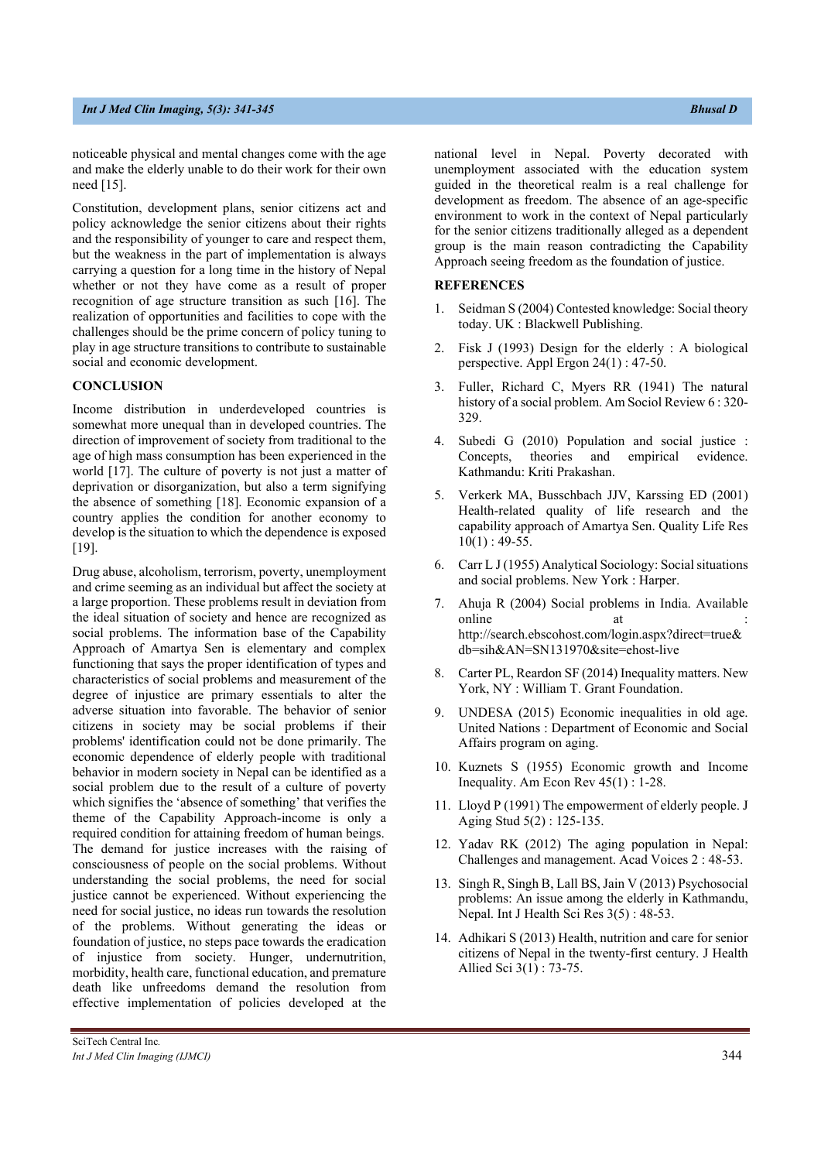noticeable physical and mental changes come with the age and make the elderly unable to do their work for their own need [15].

Constitution, development plans, senior citizens act and policy acknowledge the senior citizens about their rights and the responsibility of younger to care and respect them, but the weakness in the part of implementation is always carrying a question for a long time in the history of Nepal whether or not they have come as a result of proper recognition of age structure transition as such [16]. The realization of opportunities and facilities to cope with the challenges should be the prime concern of policy tuning to play in age structure transitions to contribute to sustainable social and economic development.

#### **CONCLUSION**

Income distribution in underdeveloped countries is somewhat more unequal than in developed countries. The direction of improvement of society from traditional to the age of high mass consumption has been experienced in the world [17]. The culture of poverty is not just a matter of deprivation or disorganization, but also a term signifying the absence of something [18]. Economic expansion of a country applies the condition for another economy to develop is the situation to which the dependence is exposed [19].

Drug abuse, alcoholism, terrorism, poverty, unemployment and crime seeming as an individual but affect the society at a large proportion. These problems result in deviation from the ideal situation of society and hence are recognized as social problems. The information base of the Capability Approach of Amartya Sen is elementary and complex functioning that says the proper identification of types and characteristics of social problems and measurement of the degree of injustice are primary essentials to alter the adverse situation into favorable. The behavior of senior citizens in society may be social problems if their problems' identification could not be done primarily. The economic dependence of elderly people with traditional behavior in modern society in Nepal can be identified as a social problem due to the result of a culture of poverty which signifies the 'absence of something' that verifies the theme of the Capability Approach-income is only a required condition for attaining freedom of human beings. The demand for justice increases with the raising of consciousness of people on the social problems. Without understanding the social problems, the need for social justice cannot be experienced. Without experiencing the need for social justice, no ideas run towards the resolution of the problems. Without generating the ideas or foundation of justice, no steps pace towards the eradication of injustice from society. Hunger, undernutrition, morbidity, health care, functional education, and premature death like unfreedoms demand the resolution from effective implementation of policies developed at the

national level in Nepal. Poverty decorated with unemployment associated with the education system guided in the theoretical realm is a real challenge for development as freedom. The absence of an age-specific environment to work in the context of Nepal particularly for the senior citizens traditionally alleged as a dependent group is the main reason contradicting the Capability Approach seeing freedom as the foundation of justice.

#### **REFERENCES**

- 1. Seidman S (2004) Contested knowledge: Social theory today. UK : Blackwell Publishing.
- 2. Fisk J (1993) Design for the elderly : A biological perspective. Appl Ergon 24(1) : 47-50.
- 3. Fuller, Richard C, Myers RR (1941) The natural history of a social problem. Am Sociol Review 6 : 320- 329.
- 4. Subedi G (2010) Population and social justice : Concepts, theories and empirical evidence. Kathmandu: Kriti Prakashan.
- 5. Verkerk MA, Busschbach JJV, Karssing ED (2001) Health-related quality of life research and the capability approach of Amartya Sen. Quality Life Res  $10(1)$ : 49-55.
- 6. Carr L J (1955) Analytical Sociology: Social situations and social problems. New York : Harper.
- 7. Ahuja R (2004) Social problems in India. Available online at : http://search.ebscohost.com/login.aspx?direct=true& db=sih&AN=SN131970&site=ehost-live
- 8. Carter PL, Reardon SF (2014) Inequality matters. New York, NY : William T. Grant Foundation.
- 9. UNDESA (2015) Economic inequalities in old age. United Nations : Department of Economic and Social Affairs program on aging.
- 10. Kuznets S (1955) Economic growth and Income Inequality. Am Econ Rev 45(1) : 1-28.
- 11. Lloyd P (1991) The empowerment of elderly people. J Aging Stud 5(2) : 125-135.
- 12. Yadav RK (2012) The aging population in Nepal: Challenges and management. Acad Voices 2 : 48-53.
- 13. Singh R, Singh B, Lall BS, Jain V (2013) Psychosocial problems: An issue among the elderly in Kathmandu, Nepal. Int J Health Sci Res 3(5) : 48-53.
- 14. Adhikari S (2013) Health, nutrition and care for senior citizens of Nepal in the twenty-first century. J Health Allied Sci 3(1) : 73-75.